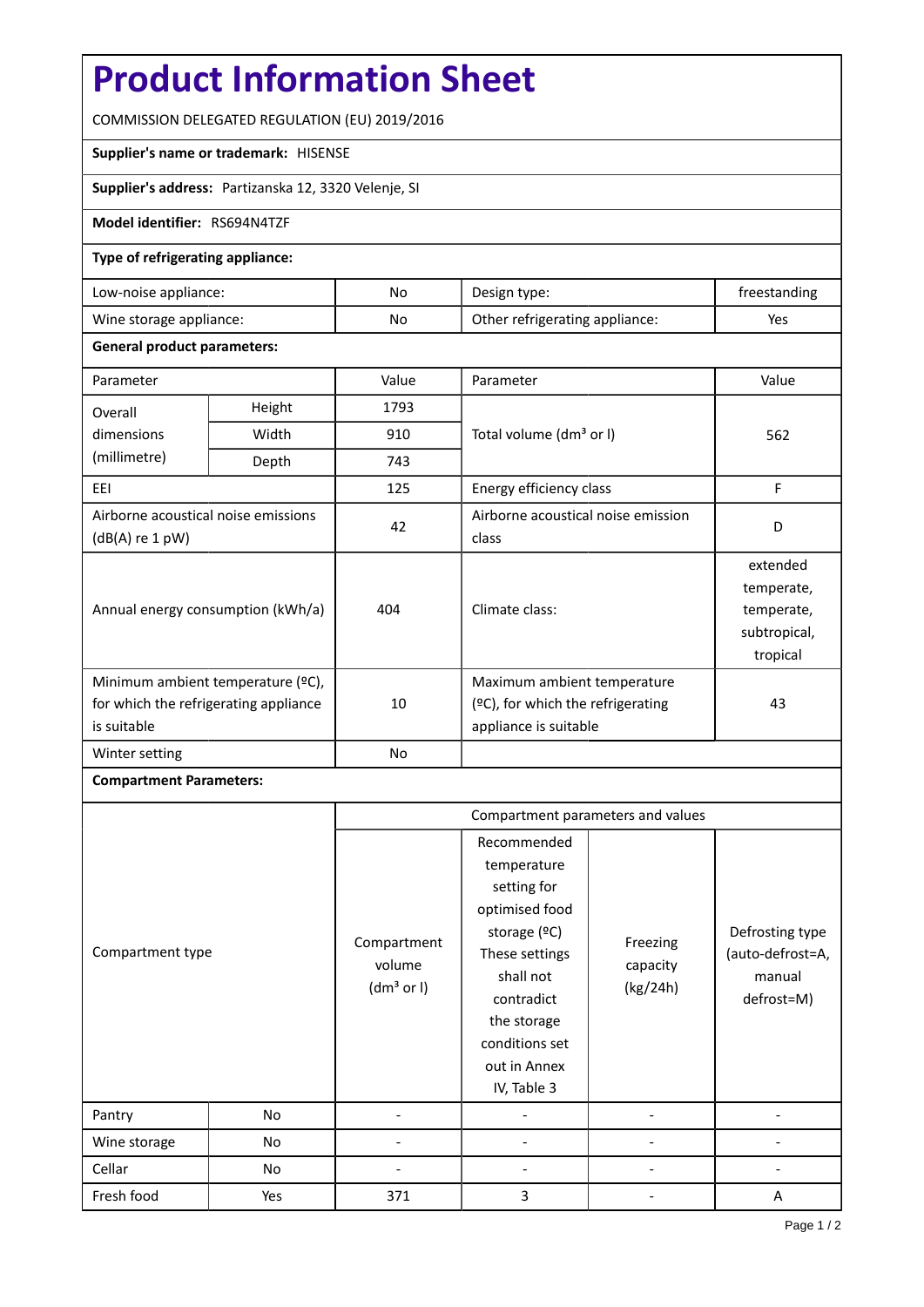# **Product Information Sheet**

COMMISSION DELEGATED REGULATION (EU) 2019/2016

#### **Supplier's name or trademark:** HISENSE

**Supplier's address:** Partizanska 12, 3320 Velenje, SI

### **Model identifier:** RS694N4TZF

### **Type of refrigerating appliance:**

| Low-noise appliance:    | No | Design type:                   | freestanding |
|-------------------------|----|--------------------------------|--------------|
| Wine storage appliance: | No | Other refrigerating appliance: | Yes          |

### **General product parameters:**

| Parameter                                                                                 |                                   | Value | Parameter                                                                                 | Value                                                            |
|-------------------------------------------------------------------------------------------|-----------------------------------|-------|-------------------------------------------------------------------------------------------|------------------------------------------------------------------|
| Height<br>Overall                                                                         |                                   | 1793  |                                                                                           |                                                                  |
| dimensions                                                                                | Width                             | 910   | Total volume (dm <sup>3</sup> or I)                                                       | 562                                                              |
| (millimetre)                                                                              | Depth                             | 743   |                                                                                           |                                                                  |
| EEI                                                                                       |                                   | 125   | Energy efficiency class                                                                   | F                                                                |
| Airborne acoustical noise emissions<br>$(dB(A)$ re 1 pW)                                  |                                   | 42    | Airborne acoustical noise emission<br>class                                               | D                                                                |
|                                                                                           | Annual energy consumption (kWh/a) | 404   | Climate class:                                                                            | extended<br>temperate,<br>temperate,<br>subtropical,<br>tropical |
| Minimum ambient temperature (°C),<br>for which the refrigerating appliance<br>is suitable |                                   | 10    | Maximum ambient temperature<br>(ºC), for which the refrigerating<br>appliance is suitable | 43                                                               |
| Winter setting                                                                            |                                   | No    |                                                                                           |                                                                  |

## **Compartment Parameters:**

|                  |     | Compartment parameters and values               |                                                                                                                                                                                          |                                  |                                                             |
|------------------|-----|-------------------------------------------------|------------------------------------------------------------------------------------------------------------------------------------------------------------------------------------------|----------------------------------|-------------------------------------------------------------|
| Compartment type |     | Compartment<br>volume<br>(dm <sup>3</sup> or I) | Recommended<br>temperature<br>setting for<br>optimised food<br>storage (ºC)<br>These settings<br>shall not<br>contradict<br>the storage<br>conditions set<br>out in Annex<br>IV, Table 3 | Freezing<br>capacity<br>(kg/24h) | Defrosting type<br>(auto-defrost=A,<br>manual<br>defrost=M) |
| Pantry           | No  |                                                 |                                                                                                                                                                                          |                                  |                                                             |
| Wine storage     | No  |                                                 |                                                                                                                                                                                          |                                  |                                                             |
| Cellar           | No  |                                                 |                                                                                                                                                                                          |                                  |                                                             |
| Fresh food       | Yes | 371                                             | 3                                                                                                                                                                                        |                                  | A                                                           |